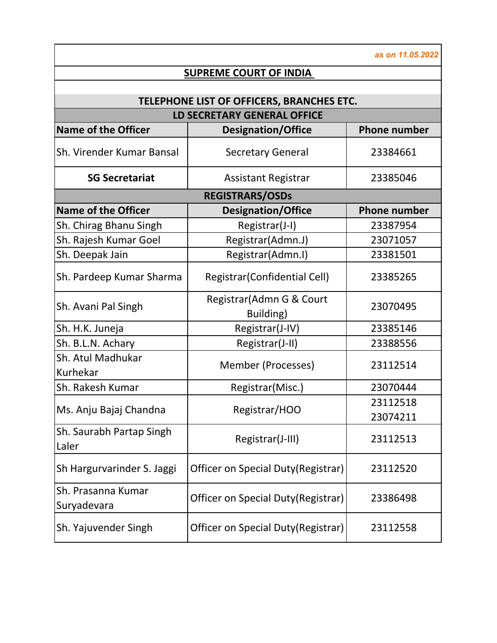**Name of the Officer Designation/Office Phone number** Sh. Virender Kumar Bansal | Secretary General | 23384661 **SG Secretariat**  $\vert$  Assistant Registrar  $\vert$  23385046 **Name of the Officer Designation/Office Phone number** Sh. Chirag Bhanu Singh | Registrar(J-I) | 23387954 Sh. Rajesh Kumar Goel | Registrar(Admn.J) | 23071057 Sh. Deepak Jain  $\vert$  Registrar(Admn.I) 23381501 Sh. Pardeep Kumar Sharma | Registrar(Confidential Cell) | 23385265 Sh. Avani Pal Singh Registrar(Admn G & Court Building) 23070495 Sh. H.K. Juneja **Registrar(J-IV)** 23385146 Sh. B.L.N. Achary (1) Registrar(J-II) 23388556 Sh. Atul Madhukar Kurhekar Member (Processes) <sup>23112514</sup> Sh. Rakesh Kumar (Sh. Registrar(Misc.) 23070444 Ms. Anju Bajaj Chandna Registrar/HOO <sup>23112518</sup> 23074211 Sh. Saurabh Partap Singh Laler Registrar(J-III) <sup>23112513</sup> Sh Hargurvarinder S. Jaggi | Officer on Special Duty(Registrar) | 23112520 Sh. Prasanna Kumar Suryadevara Ruman **Officer on Special Duty(Registrar)** 23386498 Sh. Yajuvender Singh | Officer on Special Duty(Registrar) | 23112558 *as on 11.05.2022* **SUPREME COURT OF INDIA TELEPHONE LIST OF OFFICERS, BRANCHES ETC. LD SECRETARY GENERAL OFFICE REGISTRARS/OSDs**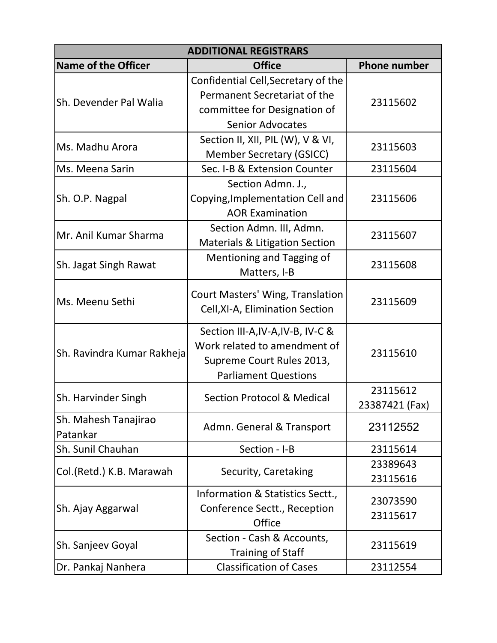| <b>ADDITIONAL REGISTRARS</b>     |                                                                                                                                |                            |
|----------------------------------|--------------------------------------------------------------------------------------------------------------------------------|----------------------------|
| <b>Name of the Officer</b>       | <b>Office</b>                                                                                                                  | <b>Phone number</b>        |
| Sh. Devender Pal Walia           | Confidential Cell, Secretary of the<br>Permanent Secretariat of the<br>committee for Designation of<br><b>Senior Advocates</b> | 23115602                   |
| Ms. Madhu Arora                  | Section II, XII, PIL (W), V & VI,<br><b>Member Secretary (GSICC)</b>                                                           | 23115603                   |
| Ms. Meena Sarin                  | Sec. I-B & Extension Counter                                                                                                   | 23115604                   |
| Sh. O.P. Nagpal                  | Section Admn. J.,<br>Copying, Implementation Cell and<br><b>AOR Examination</b>                                                | 23115606                   |
| Mr. Anil Kumar Sharma            | Section Admn. III, Admn.<br><b>Materials &amp; Litigation Section</b>                                                          | 23115607                   |
| Sh. Jagat Singh Rawat            | Mentioning and Tagging of<br>Matters, I-B                                                                                      | 23115608                   |
| Ms. Meenu Sethi                  | Court Masters' Wing, Translation<br>Cell, XI-A, Elimination Section                                                            | 23115609                   |
| Sh. Ravindra Kumar Rakheja       | Section III-A, IV-A, IV-B, IV-C &<br>Work related to amendment of<br>Supreme Court Rules 2013,<br><b>Parliament Questions</b>  | 23115610                   |
| Sh. Harvinder Singh              | <b>Section Protocol &amp; Medical</b>                                                                                          | 23115612<br>23387421 (Fax) |
| Sh. Mahesh Tanajirao<br>Patankar | Admn. General & Transport                                                                                                      | 23112552                   |
| Sh. Sunil Chauhan                | Section - I-B                                                                                                                  | 23115614                   |
| Col.(Retd.) K.B. Marawah         | Security, Caretaking                                                                                                           | 23389643<br>23115616       |
| Sh. Ajay Aggarwal                | Information & Statistics Sectt.,<br>Conference Sectt., Reception<br>Office                                                     | 23073590<br>23115617       |
| Sh. Sanjeev Goyal                | Section - Cash & Accounts,<br><b>Training of Staff</b>                                                                         | 23115619                   |
| Dr. Pankaj Nanhera               | <b>Classification of Cases</b>                                                                                                 | 23112554                   |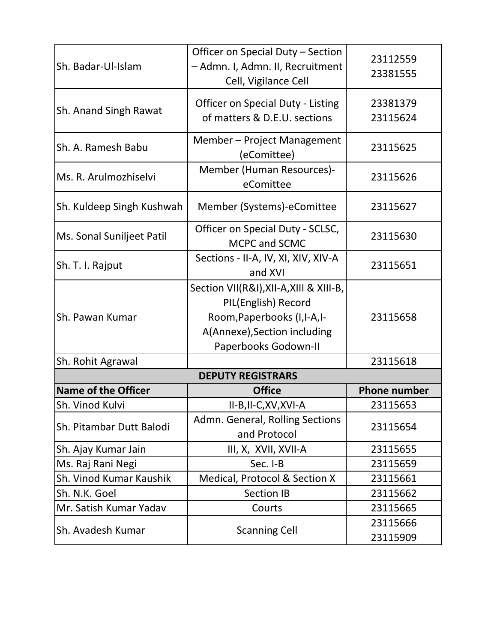| Sh. Badar-Ul-Islam         | Officer on Special Duty - Section<br>- Admn. I, Admn. II, Recruitment<br>Cell, Vigilance Cell                                                          | 23112559<br>23381555 |
|----------------------------|--------------------------------------------------------------------------------------------------------------------------------------------------------|----------------------|
| Sh. Anand Singh Rawat      | <b>Officer on Special Duty - Listing</b><br>of matters & D.E.U. sections                                                                               | 23381379<br>23115624 |
| Sh. A. Ramesh Babu         | Member - Project Management<br>(eComittee)                                                                                                             | 23115625             |
| Ms. R. Arulmozhiselvi      | Member (Human Resources)-<br>eComittee                                                                                                                 | 23115626             |
| Sh. Kuldeep Singh Kushwah  | Member (Systems)-eComittee                                                                                                                             | 23115627             |
| Ms. Sonal Suniljeet Patil  | Officer on Special Duty - SCLSC,<br>MCPC and SCMC                                                                                                      | 23115630             |
| Sh. T. I. Rajput           | Sections - II-A, IV, XI, XIV, XIV-A<br>and XVI                                                                                                         | 23115651             |
| Sh. Pawan Kumar            | Section VII(R&I), XII-A, XIII & XIII-B,<br>PIL(English) Record<br>Room, Paperbooks (I, I-A, I-<br>A(Annexe), Section including<br>Paperbooks Godown-II | 23115658             |
| Sh. Rohit Agrawal          |                                                                                                                                                        | 23115618             |
|                            | <b>DEPUTY REGISTRARS</b>                                                                                                                               |                      |
| <b>Name of the Officer</b> | <b>Office</b>                                                                                                                                          | <b>Phone number</b>  |
| Sh. Vinod Kulvi            | II-B, II-C, XV, XVI-A                                                                                                                                  | 23115653             |
| Sh. Pitambar Dutt Balodi   | Admn. General, Rolling Sections<br>and Protocol                                                                                                        | 23115654             |
| Sh. Ajay Kumar Jain        | III, X, XVII, XVII-A                                                                                                                                   | 23115655             |
| Ms. Raj Rani Negi          | Sec. I-B                                                                                                                                               | 23115659             |
| Sh. Vinod Kumar Kaushik    | Medical, Protocol & Section X                                                                                                                          | 23115661             |
| Sh. N.K. Goel              | <b>Section IB</b>                                                                                                                                      | 23115662             |
| Mr. Satish Kumar Yadav     | Courts                                                                                                                                                 | 23115665             |
| Sh. Avadesh Kumar          | <b>Scanning Cell</b>                                                                                                                                   | 23115666<br>23115909 |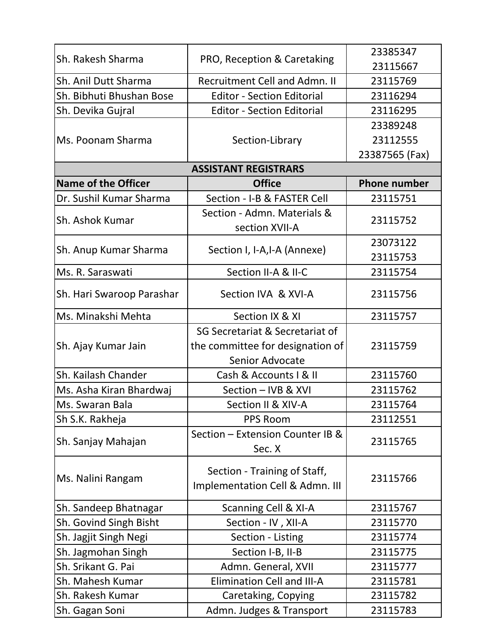| Sh. Rakesh Sharma          | PRO, Reception & Caretaking                                     | 23385347            |
|----------------------------|-----------------------------------------------------------------|---------------------|
|                            |                                                                 | 23115667            |
| Sh. Anil Dutt Sharma       | <b>Recruitment Cell and Admn. II</b>                            | 23115769            |
| Sh. Bibhuti Bhushan Bose   | <b>Editor - Section Editorial</b>                               | 23116294            |
| Sh. Devika Gujral          | <b>Editor - Section Editorial</b>                               | 23116295            |
|                            |                                                                 | 23389248            |
| Ms. Poonam Sharma          | Section-Library                                                 | 23112555            |
|                            |                                                                 | 23387565 (Fax)      |
|                            | <b>ASSISTANT REGISTRARS</b>                                     |                     |
| <b>Name of the Officer</b> | <b>Office</b>                                                   | <b>Phone number</b> |
| Dr. Sushil Kumar Sharma    | Section - I-B & FASTER Cell                                     | 23115751            |
| Sh. Ashok Kumar            | Section - Admn. Materials &<br>section XVII-A                   | 23115752            |
|                            |                                                                 | 23073122            |
| Sh. Anup Kumar Sharma      | Section I, I-A,I-A (Annexe)                                     | 23115753            |
| Ms. R. Saraswati           | Section II-A & II-C                                             | 23115754            |
| Sh. Hari Swaroop Parashar  | Section IVA & XVI-A                                             | 23115756            |
| Ms. Minakshi Mehta         | Section IX & XI                                                 | 23115757            |
|                            | SG Secretariat & Secretariat of                                 |                     |
| Sh. Ajay Kumar Jain        | the committee for designation of                                | 23115759            |
|                            | Senior Advocate                                                 |                     |
| Sh. Kailash Chander        | Cash & Accounts   & II                                          | 23115760            |
| Ms. Asha Kiran Bhardwaj    | Section - IVB & XVI                                             | 23115762            |
| Ms. Swaran Bala            | Section II & XIV-A                                              | 23115764            |
| Sh S.K. Rakheja            | <b>PPS Room</b>                                                 | 23112551            |
| Sh. Sanjay Mahajan         | Section - Extension Counter IB &<br>Sec. X                      | 23115765            |
| Ms. Nalini Rangam          | Section - Training of Staff,<br>Implementation Cell & Admn. III | 23115766            |
| Sh. Sandeep Bhatnagar      | Scanning Cell & XI-A                                            | 23115767            |
| Sh. Govind Singh Bisht     | Section - IV, XII-A                                             | 23115770            |
| Sh. Jagjit Singh Negi      | Section - Listing                                               | 23115774            |
| Sh. Jagmohan Singh         | Section I-B, II-B                                               | 23115775            |
| Sh. Srikant G. Pai         | Admn. General, XVII                                             | 23115777            |
| Sh. Mahesh Kumar           | <b>Elimination Cell and III-A</b>                               | 23115781            |
| Sh. Rakesh Kumar           | Caretaking, Copying                                             | 23115782            |
| Sh. Gagan Soni             | Admn. Judges & Transport                                        | 23115783            |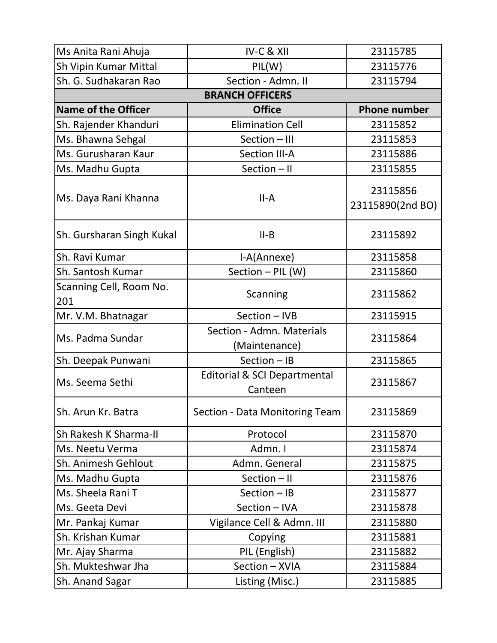| Ms Anita Rani Ahuja            | IV-C & XII                                         | 23115785                     |
|--------------------------------|----------------------------------------------------|------------------------------|
| Sh Vipin Kumar Mittal          | PIL(W)                                             | 23115776                     |
| Sh. G. Sudhakaran Rao          | Section - Admn. II                                 | 23115794                     |
|                                | <b>BRANCH OFFICERS</b>                             |                              |
| <b>Name of the Officer</b>     | <b>Office</b>                                      | <b>Phone number</b>          |
| Sh. Rajender Khanduri          | <b>Elimination Cell</b>                            | 23115852                     |
| Ms. Bhawna Sehgal              | Section - III                                      | 23115853                     |
| Ms. Gurusharan Kaur            | <b>Section III-A</b>                               | 23115886                     |
| Ms. Madhu Gupta                | Section - II                                       | 23115855                     |
| Ms. Daya Rani Khanna           | $II-A$                                             | 23115856<br>23115890(2nd BO) |
| Sh. Gursharan Singh Kukal      | $II-B$                                             | 23115892                     |
| Sh. Ravi Kumar                 | I-A(Annexe)                                        | 23115858                     |
| Sh. Santosh Kumar              | Section - PIL (W)                                  | 23115860                     |
| Scanning Cell, Room No.<br>201 | Scanning                                           | 23115862                     |
| Mr. V.M. Bhatnagar             | Section - IVB                                      | 23115915                     |
| Ms. Padma Sundar               | Section - Admn. Materials<br>(Maintenance)         | 23115864                     |
| Sh. Deepak Punwani             | Section - IB                                       | 23115865                     |
| Ms. Seema Sethi                | <b>Editorial &amp; SCI Departmental</b><br>Canteen | 23115867                     |
| Sh. Arun Kr. Batra             | Section - Data Monitoring Team                     | 23115869                     |
| Sh Rakesh K Sharma-II          | Protocol                                           | 23115870                     |
| Ms. Neetu Verma                | Admn. I                                            | 23115874                     |
| Sh. Animesh Gehlout            | Admn. General                                      | 23115875                     |
| Ms. Madhu Gupta                | Section - II                                       | 23115876                     |
| Ms. Sheela Rani T              | Section - IB                                       | 23115877                     |
| Ms. Geeta Devi                 | Section - IVA                                      | 23115878                     |
| Mr. Pankaj Kumar               | Vigilance Cell & Admn. III                         | 23115880                     |
| Sh. Krishan Kumar              | Copying                                            | 23115881                     |
| Mr. Ajay Sharma                | PIL (English)                                      | 23115882                     |
| Sh. Mukteshwar Jha             | Section - XVIA                                     | 23115884                     |
| Sh. Anand Sagar                | Listing (Misc.)                                    | 23115885                     |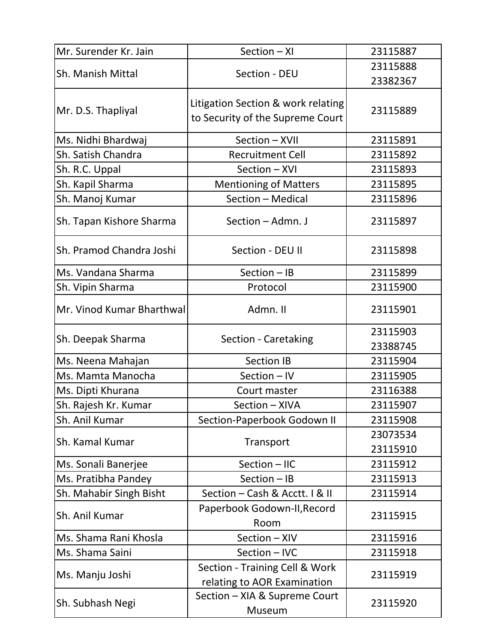| Mr. Surender Kr. Jain     | Section - XI                                                           | 23115887             |
|---------------------------|------------------------------------------------------------------------|----------------------|
| Sh. Manish Mittal         |                                                                        | 23115888             |
|                           | Section - DEU                                                          | 23382367             |
| Mr. D.S. Thapliyal        | Litigation Section & work relating<br>to Security of the Supreme Court | 23115889             |
| Ms. Nidhi Bhardwaj        | Section - XVII                                                         | 23115891             |
| Sh. Satish Chandra        | <b>Recruitment Cell</b>                                                | 23115892             |
| Sh. R.C. Uppal            | Section - XVI                                                          | 23115893             |
| Sh. Kapil Sharma          | <b>Mentioning of Matters</b>                                           | 23115895             |
| Sh. Manoj Kumar           | Section - Medical                                                      | 23115896             |
| Sh. Tapan Kishore Sharma  | Section - Admn. J                                                      | 23115897             |
| Sh. Pramod Chandra Joshi  | Section - DEU II                                                       | 23115898             |
| Ms. Vandana Sharma        | Section - IB                                                           | 23115899             |
| Sh. Vipin Sharma          | Protocol                                                               | 23115900             |
| Mr. Vinod Kumar Bharthwal | Admn. II                                                               | 23115901             |
| Sh. Deepak Sharma         | Section - Caretaking                                                   | 23115903<br>23388745 |
| Ms. Neena Mahajan         | <b>Section IB</b>                                                      | 23115904             |
| Ms. Mamta Manocha         | Section - IV                                                           | 23115905             |
| Ms. Dipti Khurana         | Court master                                                           | 23116388             |
| Sh. Rajesh Kr. Kumar      | Section - XIVA                                                         | 23115907             |
| Sh. Anil Kumar            | Section-Paperbook Godown II                                            | 23115908             |
| Sh. Kamal Kumar           | Transport                                                              | 23073534<br>23115910 |
| Ms. Sonali Banerjee       | Section - IIC                                                          | 23115912             |
| Ms. Pratibha Pandey       | Section - IB                                                           | 23115913             |
| Sh. Mahabir Singh Bisht   | Section - Cash & Acctt. I & II                                         | 23115914             |
| Sh. Anil Kumar            | Paperbook Godown-II, Record<br>Room                                    | 23115915             |
| Ms. Shama Rani Khosla     | Section - XIV                                                          | 23115916             |
| Ms. Shama Saini           | Section - IVC                                                          | 23115918             |
| Ms. Manju Joshi           | Section - Training Cell & Work<br>relating to AOR Examination          | 23115919             |
| Sh. Subhash Negi          | Section - XIA & Supreme Court<br>Museum                                | 23115920             |